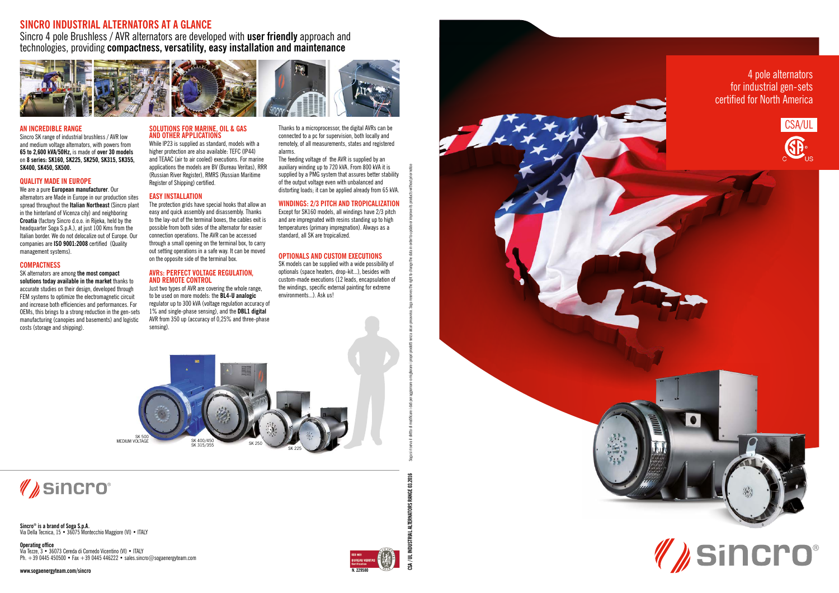**CSA / UL INDUSTRIAL ALTERNATORS RANGE 03.2016**

ISTRIAL ALTERNATORS RANGE 03.2016



**Sincro ® is a brand of Soga S.p.A.** Via Della Tecnica, 15 • 36075 Montecchio Maggiore (VI) • ITALY

**Operating office** Via Tezze, 3 • 36073 Cereda di Cornedo Vicentino (VI) • ITALY Ph. +39 0445 450500 • Fax +39 0445 446222 • sales.sincro@sogaenergyteam.com

**www.sogaenergyteam.com/sincro**

### **SINCRO INDUSTRIAL ALTERNATORS AT A GLANCE**

Sincro 4 pole Brushless / AVR alternators are developed with **user friendly** approach and technologies, providing **compactness, versatility, easy installation and maintenance**



#### **AN INCREDIBLE RANGE**

Sincro SK range of industrial brushless / AVR low and medium voltage alternators, with powers from **65 to 2,600 kVA/50Hz,** is made of **over 30 models**  on **8 series: SK160, SK225, SK250, SK315, SK355, SK400, SK450, SK500.**

While IP23 is supplied as standard, models with a higher protection are also available: TEFC (IP44) and TEAAC (air to air cooled) executions. For marine applications the models are BV (Bureau Veritas), RRR (Russian River Register), RMRS (Russian Maritime Register of Shipping) certified.

#### **QUALITY MADE IN EUROPE**

We are a pure **European manufacturer**. Our alternators are Made in Europe in our production sites spread throughout the **Italian Northeast** (Sincro plant in the hinterland of Vicenza city) and neighboring **Croatia** (factory Sincro d.o.o. in Rijeka, held by the headquarter Soga S.p.A.), at just 100 Kms from the Italian border. We do not delocalize out of Europe. Our companies are **ISO 9001:2008** certified (Quality management systems).

#### **COMPACTNESS**

#### SK alternators are among **the most compact solutions today available in the market** thanks to

accurate studies on their design, developed through FEM systems to optimize the electromagnetic circuit and increase both efficiencies and performances. For OEMs, this brings to a strong reduction in the gen-sets manufacturing (canopies and basements) and logistic costs (storage and shipping).

#### **SOLUTIONS FOR MARINE, OIL & GAS AND OTHER APPLICATIONS**

#### **EASY INSTALLATION**

The protection grids have special hooks that allow an easy and quick assembly and disassembly. Thanks to the lay-out of the terminal boxes, the cables exit is possible from both sides of the alternator for easier connection operations. The AVR can be accessed through a small opening on the terminal box, to carry out setting operations in a safe way. It can be moved on the opposite side of the terminal box.

#### **AVRs: PERFECT VOLTAGE REGULATION, AND REMOTE CONTROL**

Just two types of AVR are covering the whole range, to be used on more models: the **BL4-U analogic** regulator up to 300 kVA (voltage regulation accuracy of 1% and single-phase sensing), and the **DBL1 digital** AVR from 350 up (accuracy of 0,25% and three-phase sensing).

Thanks to a microprocessor, the digital AVRs can be connected to a pc for supervision, both locally and remotely, of all measurements, states and registered alarms.

The feeding voltage of the AVR is supplied by an auxiliary winding up to 720 kVA. From 800 kVA it is supplied by a PMG system that assures better stability of the output voltage even with unbalanced and distorting loads; it can be applied already from 65 kVA.

#### **WINDINGS: 2/3 PITCH AND TROPICALIZATION**

Except for SK160 models, all windings have 2/3 pitch and are impregnated with resins standing up to high temperatures (primary impregnation). Always as a standard, all SK are tropicalized.

#### **OPTIONALS AND CUSTOM EXECUTIONS**

SK models can be supplied with a wide possibility of optionals (space heaters, drop-kit...), besides with custom-made executions (12 leads, encapsulation of the windings, specific external painting for extreme environments...). Ask us!

Soga si riserva il diritto di modificare i dati per aggiornare o migliorare i propri prodotti senza alcun preavviso. Soga reserves the right to change the data in order to update or improve its products without prior notic







# *(I) Sincro®*